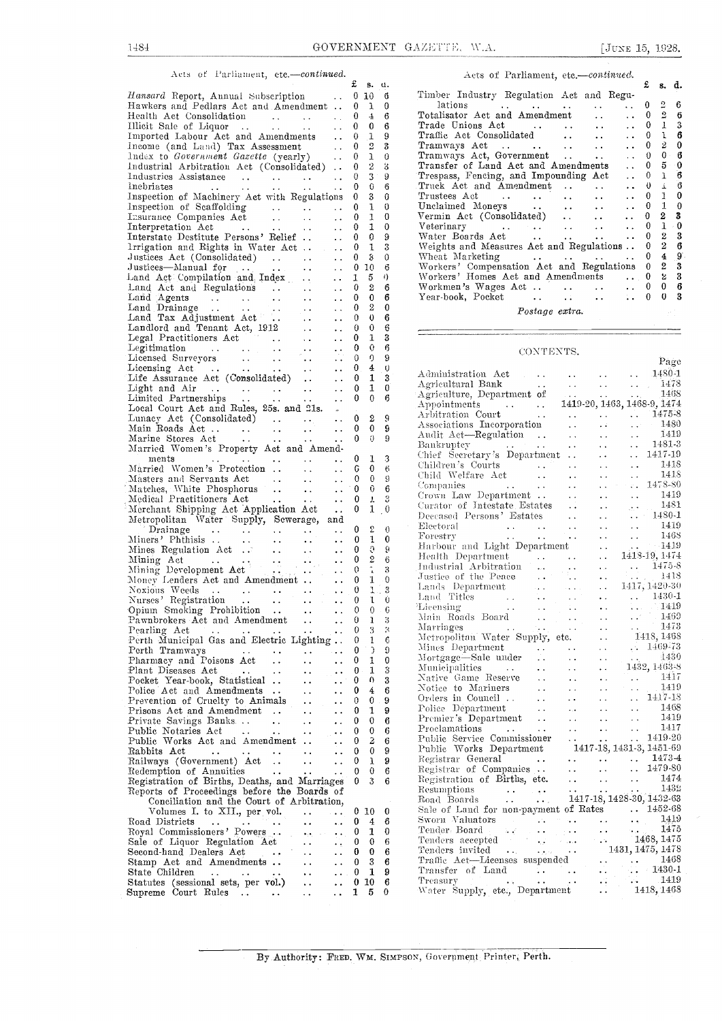4  $6$ 

9

6

 $\Omega$  $\mathcal{R}$ 

 $\frac{0}{6}$ 

 $\frac{0}{0}$ 

6  $\ddot{\mathbf{0}}$ 

 $\mathbf{0}$  and  $\mathbf{0}$ 66 3

1

69

Page

### Acts of Parliament, etc.-continued.

£ s. u.Hansard Report, Annual Subscription . . 0<br>Hawkers and Pedlars Act and Amendment . . 0<br>Health Act Consolidation  $0\,10\,6$  $0$  1  $0$ Health Act Consolidation Illicit Sale of Liquor .. . . .. Imported Labour Act and Amendments  $\begin{matrix} 0 & 4 \\ 0 & 0 \end{matrix}$  $\begin{matrix} 0 & 0 \\ 0 & 1 \end{matrix}$  $0$  1 9 1 income (and Land) Tax Assessment ... 0<br>
lndex to Government Gazette (yearly) ... 0<br>
lndustrial Arbitration Act (Consolidated) .. 0<br>
lndustries Assistance ... ... ... ... 0 0 2 3  $0$  1 0 0 2 3 Industries Assistance . . . . . . . . . 0 3<br>
Inspection of Machinery Act with Regulations 0 3<br>
Inspection of Machinery Act with Regulations 0 3  $\frac{3}{9}$  $0\quad 3\quad 9$ 0 0 6  $0\quad 6$ 0 3 Inspection of Scaffolding ......<br>Insurance Companies Act ........<br>Interpretation Act ..............<br>Interstate Destitute Persons' Relief .. 1  $0\quad 1\quad 0$  $\frac{1}{1}$  $\begin{smallmatrix}0&1&0\0&1&0\end{smallmatrix}$ Irrigation and Rights in Water Act  $\ddot{\phantom{0}}$  . 1  $\begin{matrix} 0 & 0 \\ 0 & 1 \end{matrix}$  $\ddotsc$  $\begin{matrix}0&1\\0&3\end{matrix}$ Justices Act (Consolidated) ...<br>Justices—Manual for ... ...  $\ddot{\phantom{1}}$  .  $0 - 3 = 0$  $0, 10, 6$ Land Act Compilation and Index Laud Act and Regulations . Land Agents . . . 0 0 3 Land Drainage .. . . Land Tax Adjustment Act .. Landlord and Tenant Act, 1912  $\begin{array}{cc} 1 & 5 \\ 0 & 2 \end{array}$ 5 0 $\begin{matrix}\n\overline{0} & \overline{2} & 6 \\
0 & 0 & 6\n\end{matrix}$ 0 0 $\begin{matrix} 0 & 2 \\ 0 & 0 \end{matrix}$  $\epsilon$  .  $\sim$   $\sim$ 0 0Legal Practitioners Act Legitimation  $\ddotsc$  $0 \quad 0 \quad 6$  $\begin{matrix} 0 & 1 \\ 0 & 0 \end{matrix}$  $\ddotsc$  $\sim$  . Legitimation . . . . . . . . . . . . . 0 0<br>
Licensing Act . . . . . . . . . 0 4<br>
Light and Air . . . . . . . . . . 0 1<br>
Light and Air . . . . . . . . . . . 0 1<br>
Light and Air . . . . . . . . . . 0 0<br>
Local Court Act and Ru  $\Omega$  $\sim$   $\sim$  $0<sub>0</sub>$ 0 00 4  $0 \quad 1 \quad 3 \quad 4$ 0 1 0 0Lunacy Act (Consolidated) Main Roads Act .. . . Marine Stores Act . . Married Women 's Property Act and Amend- $\begin{matrix} 0 & 2 \\ 0 & 0 \end{matrix}$ 2 90 0  $0 \quad 0$  $0$  9  $$ ments<br>Married Women's Protection ..  $\theta$ 1  $\overline{0}$  $\begin{array}{ccc} 6 & 0 & 6 \\ 0 & 0 & 9 \end{array}$ Masters and Servants Act  $\begin{matrix}0&0\\0&0\end{matrix}$ 0 9Matches, White Phosphorus ... .. ..<br>Medical Practitioners Act ... .. .. ..<br>Merchant Shipping Act Application Act ...  $\Omega$ 0 1 3  $\begin{smallmatrix}0&1&0\\0&1&0\end{smallmatrix}$ Metropolitan Water Supply, Sewerage, and<br>
Prainage . . . . . . . . . 0 2 0<br>
Miners' Phthisis . . . . . . . . . 0 1 0<br>
Mining Act . . . . . . . 0 2 6<br>
Mining Development Act . . . . . . 0 2 6<br>
Mining Development Act . . . .  $0\quad 2\quad 0$  $\begin{matrix}0\\0\end{matrix}$ 10 0  $\begin{matrix}\n0 & 2 & 6 \\
0 & 1 & 3\n\end{matrix}$ 0 1 $10$ honey Lenders Act and Amendmen Noxious Weeds .. Nurses' Registration ..-Opium Smoking Prohibition .. Pawnbrokers Act and Amendment .. Pearling Act Perth Municipal Gas and Electric Lighting .. Perth Tramways Pharmacy and Poisons Act Plant Diseases Act  $\begin{matrix}0\\0\end{matrix}$  $\begin{array}{cc} 0 & 1 \\ 0 & 1 \end{array}$  $1.3$ 0 1 $\begin{matrix} 0 & 0 \\ 0 & 1 \end{matrix}$  $0.6$ 013 1038 3  $\begin{matrix} 0 \\ 0 \end{matrix}$ 1  $0 \rightarrow 9$ 0 1Plant Diseases Act ...<br>Pocket Year-book, Statistical ...<br>Police Act and Amendments ..  $\begin{matrix}0\\0\end{matrix}$ 1  $\begin{matrix} 0 & 0 & 3 \\ 0 & 4 & 6 \end{matrix}$ 11Police Act and Amendments .. ..<br>Prevention of Cruelty to Animals ..<br>Prisons Act and Amendment .. ..  $\langle \cdot \rangle_{\rm c}$ 0 4  $\begin{array}{ccc} 0 & 0 & 9 \\ 0 & 1 & 9 \end{array}$  $\sim$   $\sim$  $\ddot{\phantom{a}}$  .  $\begin{matrix}0\\0\end{matrix}$  $\frac{1}{0}$ Private Savings Banks. .. Public Notaries Act  $\bar{\omega}$ 0 0 0 0 Public Works Act and Amendment ...  $\begin{matrix}0&2\\0&0\end{matrix}$  $\begin{matrix} 0 & 0 \\ 0 & 1 \end{matrix}$ Rabbits Act ... ... ... ... ... 0 0 Railways (Government) Act ... ... ... 0 1 Registration of Annuities ... ... ... ... 0 0 8 Registration of Births, Deaths, and Marriages 0 3 8 Reports of Proceedings before the Boards of 0 10 0 3 0Volumes I. to XII., per vol.<br>
When I. to XII., per vol.<br>
Road Districts<br>
Royal Commissioners' Powers<br>
Sale of Liquor Regulation Act<br>
Second-hand Dealers Act<br>
State Children<br>
State Children<br>
State Children<br>
State Sessional 0 10 0 4 0 10 0  $\begin{matrix} 0 & 0 & 6 \\ 0 & 3 & 6 \end{matrix}$ 0 60 3 $0\quad 1$  $0\ 10\ 6$  $1\quad 5\quad 0$ 5

|    | Acts of Parliament, etc.-continued.                                                                                                                                                                                                          |              |                |                  |
|----|----------------------------------------------------------------------------------------------------------------------------------------------------------------------------------------------------------------------------------------------|--------------|----------------|------------------|
|    |                                                                                                                                                                                                                                              | £            | 8.             | d.               |
| đ  | Timber Industry Regulation Act and Regu-                                                                                                                                                                                                     |              |                |                  |
| 0  | lations<br><b>Address Contract</b>                                                                                                                                                                                                           | 0            | $\overline{2}$ | 6                |
| 6  | Totalisator Act and Amendment                                                                                                                                                                                                                | 0            | $\overline{2}$ | 6                |
| 6  | Trade Unions Act                                                                                                                                                                                                                             | 0            | $\overline{1}$ | 3                |
| 9  | Traffic Act Consolidated                                                                                                                                                                                                                     | 0            |                | $1\quad 6$       |
| 3  |                                                                                                                                                                                                                                              | $\mathbf{0}$ |                | $2\quad 0$       |
| 0  | Tramways Act, Government<br>$\ddot{\phantom{a}}$<br>$\sim$                                                                                                                                                                                   | 0            |                | 0 <sub>0</sub>   |
| 3  | Transfer of Land Act and Amendments                                                                                                                                                                                                          | $\mathbf{0}$ | 5.             | - 0              |
| 9  | Trespass, Fencing, and Impounding Act<br>$\ddot{\phantom{0}}$                                                                                                                                                                                | $\mathbf{0}$ | 1              | $\boldsymbol{6}$ |
| 6  | Truck Act and Amendment<br><b>SALE</b><br>$\sim$ $\sim$ $\sim$                                                                                                                                                                               | $\mathbf{0}$ | $\perp$        | 6                |
| 0  | Trustees Act<br>$\bullet$ $\bullet$ $\bullet$ $\bullet$ $\bullet$ $\bullet$ $\bullet$                                                                                                                                                        | $\mathbf{0}$ | $\mathbf{1}$   | $\bf{0}$         |
| 0  | Unclaimed Moneys                                                                                                                                                                                                                             | $\mathbf{0}$ | 1              | $\boldsymbol{0}$ |
| 0  | Vermin Act (Consolidated)<br>and the same of the                                                                                                                                                                                             | $\mathbf{0}$ | $\mathbf{2}$   | 3                |
| 0  | Veterinary<br>and the state of the state of the state of<br>$\sim$ $\sim$                                                                                                                                                                    | 0            | 1              | - 0              |
| 9  | Water Boards Act<br>$\cdots$ $\cdots$<br>$\ddotsc$                                                                                                                                                                                           |              |                | $2 \quad 3$      |
| 3  | Weights and Measures Act and Regulations                                                                                                                                                                                                     | 0            | $\overline{2}$ | 6                |
|    | Wheat Marketing                                                                                                                                                                                                                              | 0            | 4              | $9^{\circ}$      |
| 0  | $\mathbf{r}$ , and the set of the set of the set of the set of the set of the set of the set of the set of the set of the set of the set of the set of the set of the set of the set of the set of the set of the set of the set<br>$\cdots$ | 0            | $\overline{2}$ | 3                |
| 6  | Workers' Compensation Act and Regulations                                                                                                                                                                                                    |              |                |                  |
| I) | Workers' Homes Act and Amendments<br>$\cdots$ 0                                                                                                                                                                                              |              | 2              | 3                |
| 6  | Workmen's Wages Act                                                                                                                                                                                                                          | 0            | 0              | 6                |
| 6  | Year-book, Pocket<br>$\mathbf{r}$ , and $\mathbf{r}$ , and $\mathbf{r}$                                                                                                                                                                      | 0            | $\bf{0}$       | 3                |

Postage extra.

#### CONTEXTS.

| $\ddagger$              | $\cup$           |                                                                                                                                                                                                                                                                                                                                                                                                                                                     |
|-------------------------|------------------|-----------------------------------------------------------------------------------------------------------------------------------------------------------------------------------------------------------------------------------------------------------------------------------------------------------------------------------------------------------------------------------------------------------------------------------------------------|
| $\mathbf{1}$            | $\mathbf{3}$     |                                                                                                                                                                                                                                                                                                                                                                                                                                                     |
| ı                       | $\bf{0}$         |                                                                                                                                                                                                                                                                                                                                                                                                                                                     |
| 0                       | 6                |                                                                                                                                                                                                                                                                                                                                                                                                                                                     |
|                         |                  |                                                                                                                                                                                                                                                                                                                                                                                                                                                     |
| 2                       | g                |                                                                                                                                                                                                                                                                                                                                                                                                                                                     |
| 0                       | 9                |                                                                                                                                                                                                                                                                                                                                                                                                                                                     |
| O.                      | 9                |                                                                                                                                                                                                                                                                                                                                                                                                                                                     |
|                         |                  |                                                                                                                                                                                                                                                                                                                                                                                                                                                     |
| 1                       | 3                |                                                                                                                                                                                                                                                                                                                                                                                                                                                     |
| 0                       | $\boldsymbol{6}$ |                                                                                                                                                                                                                                                                                                                                                                                                                                                     |
| $\overline{0}$          | $\boldsymbol{9}$ |                                                                                                                                                                                                                                                                                                                                                                                                                                                     |
| 0.                      | 6                |                                                                                                                                                                                                                                                                                                                                                                                                                                                     |
|                         | 3                |                                                                                                                                                                                                                                                                                                                                                                                                                                                     |
| $\mathbf{r}$            |                  |                                                                                                                                                                                                                                                                                                                                                                                                                                                     |
| 1                       | $\, , \, 0$      |                                                                                                                                                                                                                                                                                                                                                                                                                                                     |
|                         |                  |                                                                                                                                                                                                                                                                                                                                                                                                                                                     |
| 2                       | $\theta$         |                                                                                                                                                                                                                                                                                                                                                                                                                                                     |
| 1                       | $\bf{0}$         | $[1451.3$ \label{red:201} \begin{tabular}{ c c c c c c c c c c c c} \hline Banckrutier Section 1481.3 \\ \hline Chidler (Seretrary's Department & .1413.3 \\ \hline Childdvel's Courts & .1418 \\ \hline Conpanies & .1418 \\ \hline Conpanies & .1418 \\ \hline Conpanies & .1478-80 \\ \hline Conparines & .1481 \\ \hline Deccased Persons' Estimates & .14801 \\ \hline Deccard & Persom's {\it \& \& \& \& \& \& \& \& \& \& \& \& \& \& \& \$ |
| Ö,                      | 9                |                                                                                                                                                                                                                                                                                                                                                                                                                                                     |
| $\frac{2}{1}$           | $\,6$            |                                                                                                                                                                                                                                                                                                                                                                                                                                                     |
|                         | $\boldsymbol{3}$ |                                                                                                                                                                                                                                                                                                                                                                                                                                                     |
| $\mathbf 1$             | $\cdot 0$        |                                                                                                                                                                                                                                                                                                                                                                                                                                                     |
|                         | 1.3              |                                                                                                                                                                                                                                                                                                                                                                                                                                                     |
| $\mathbf{1}$            | Ü                |                                                                                                                                                                                                                                                                                                                                                                                                                                                     |
|                         | $0-6$            |                                                                                                                                                                                                                                                                                                                                                                                                                                                     |
| $\mathbf{1}$            | $\boldsymbol{3}$ |                                                                                                                                                                                                                                                                                                                                                                                                                                                     |
|                         | $3 - 3$          |                                                                                                                                                                                                                                                                                                                                                                                                                                                     |
| $\mathbf{1}$            | $\,6\,$          |                                                                                                                                                                                                                                                                                                                                                                                                                                                     |
| $\overline{\mathbf{a}}$ |                  |                                                                                                                                                                                                                                                                                                                                                                                                                                                     |
|                         | $\mathfrak{g}$   |                                                                                                                                                                                                                                                                                                                                                                                                                                                     |
| 1                       | $\bf{0}$         |                                                                                                                                                                                                                                                                                                                                                                                                                                                     |
| $\mathbf{1}$            | $\rm 3$          |                                                                                                                                                                                                                                                                                                                                                                                                                                                     |
| 0.                      | $\bf 3$          |                                                                                                                                                                                                                                                                                                                                                                                                                                                     |
| $\frac{4}{1}$           | $\boldsymbol{6}$ |                                                                                                                                                                                                                                                                                                                                                                                                                                                     |
|                         | 0.9              |                                                                                                                                                                                                                                                                                                                                                                                                                                                     |
| $\mathbf{1}$            | 9                |                                                                                                                                                                                                                                                                                                                                                                                                                                                     |
| 0                       | $\bf 6$          |                                                                                                                                                                                                                                                                                                                                                                                                                                                     |
| 0                       | 6                |                                                                                                                                                                                                                                                                                                                                                                                                                                                     |
| $\bar{2}$               | $\epsilon$       |                                                                                                                                                                                                                                                                                                                                                                                                                                                     |
| $\overline{0}$          | 9                |                                                                                                                                                                                                                                                                                                                                                                                                                                                     |
| Ţ                       | 9                |                                                                                                                                                                                                                                                                                                                                                                                                                                                     |
| 0                       | 6                |                                                                                                                                                                                                                                                                                                                                                                                                                                                     |
| 3                       | 6                |                                                                                                                                                                                                                                                                                                                                                                                                                                                     |
|                         |                  |                                                                                                                                                                                                                                                                                                                                                                                                                                                     |
|                         |                  |                                                                                                                                                                                                                                                                                                                                                                                                                                                     |
|                         |                  |                                                                                                                                                                                                                                                                                                                                                                                                                                                     |
| 0                       | $\bf{0}$         |                                                                                                                                                                                                                                                                                                                                                                                                                                                     |
| 4.                      | $\boldsymbol{6}$ |                                                                                                                                                                                                                                                                                                                                                                                                                                                     |
| $\mathbf{1}$            | $\pmb{0}$        |                                                                                                                                                                                                                                                                                                                                                                                                                                                     |
| 0                       | $\boldsymbol{6}$ |                                                                                                                                                                                                                                                                                                                                                                                                                                                     |
| 0                       | $\boldsymbol{6}$ |                                                                                                                                                                                                                                                                                                                                                                                                                                                     |
| $\mathbf{3}$            | $\bf 6$          |                                                                                                                                                                                                                                                                                                                                                                                                                                                     |
| $\overline{\mathbf{1}}$ | $\boldsymbol{9}$ |                                                                                                                                                                                                                                                                                                                                                                                                                                                     |
| $\mathbf{0}$            | 6                |                                                                                                                                                                                                                                                                                                                                                                                                                                                     |
| 5                       | $\Omega$         |                                                                                                                                                                                                                                                                                                                                                                                                                                                     |
|                         |                  |                                                                                                                                                                                                                                                                                                                                                                                                                                                     |

By Authority: FRED. WM. SIMPSON, Government Printer, Perth.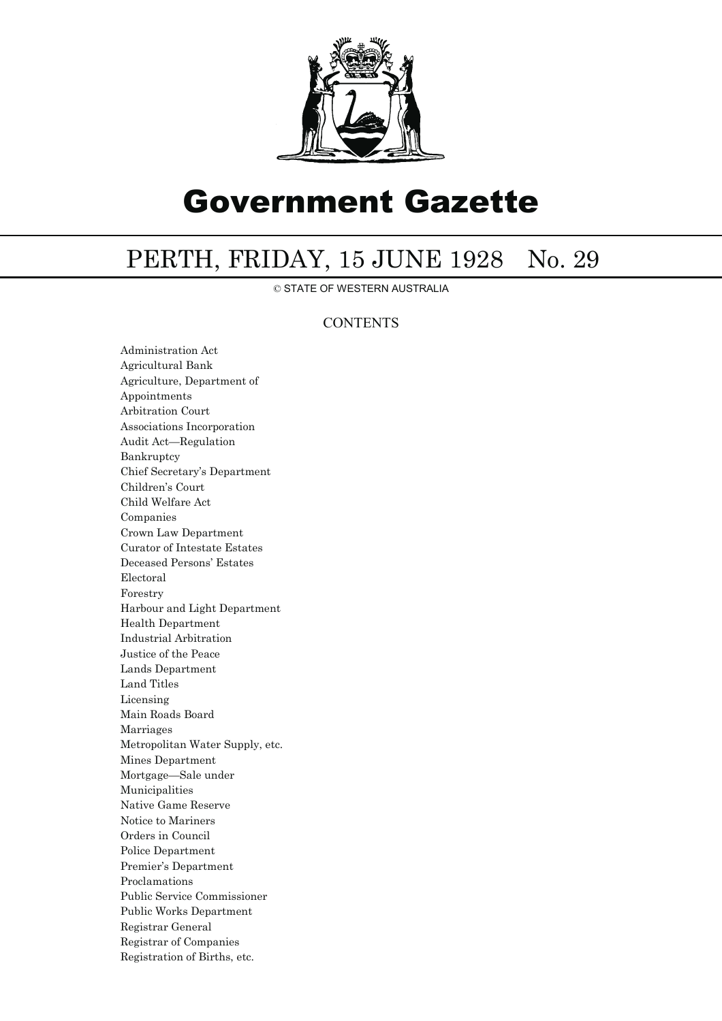

# Government Gazette

## PERTH, FRIDAY, 15 JUNE 1928 No. 29

© STATE OF WESTERN AUSTRALIA

### **CONTENTS**

Administration Act Agricultural Bank Agriculture, Department of Appointments Arbitration Court Associations Incorporation Audit Act—Regulation Bankruptcy Chief Secretary's Department Children's Court Child Welfare Act Companies Crown Law Department Curator of Intestate Estates Deceased Persons' Estates Electoral Forestry Harbour and Light Department Health Department Industrial Arbitration Justice of the Peace Lands Department Land Titles Licensing Main Roads Board Marriages Metropolitan Water Supply, etc. Mines Department Mortgage—Sale under Municipalities Native Game Reserve Notice to Mariners Orders in Council Police Department Premier's Department Proclamations Public Service Commissioner Public Works Department Registrar General Registrar of Companies Registration of Births, etc.